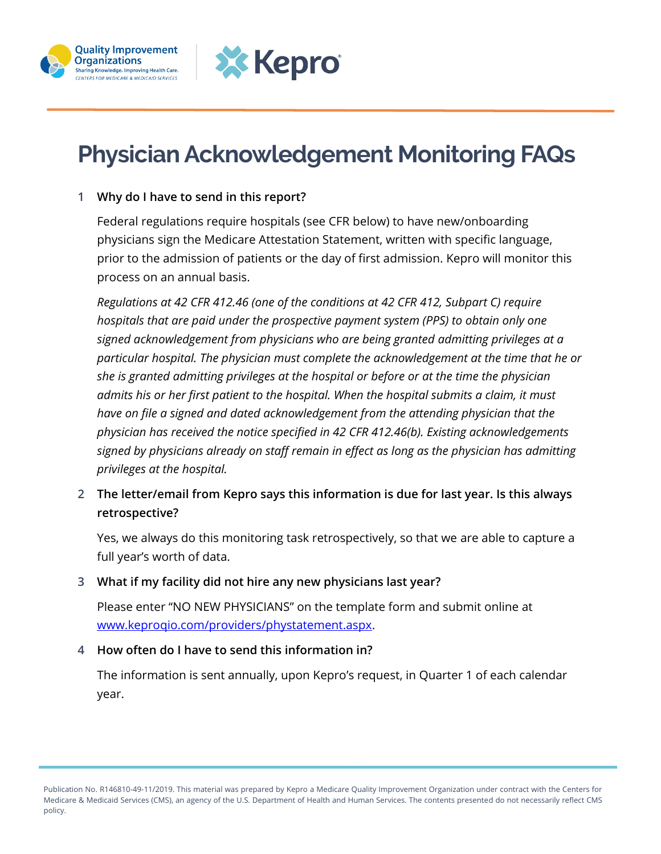



# **Physician Acknowledgement Monitoring FAQs**

#### **1 Why do I have to send in this report?**

Federal regulations require hospitals (see CFR below) to have new/onboarding physicians sign the Medicare Attestation Statement, written with specific language, prior to the admission of patients or the day of first admission. Kepro will monitor this process on an annual basis.

*Regulations at 42 CFR 412.46 (one of the conditions at 42 CFR 412, Subpart C) require hospitals that are paid under the prospective payment system (PPS) to obtain only one signed acknowledgement from physicians who are being granted admitting privileges at a particular hospital. The physician must complete the acknowledgement at the time that he or she is granted admitting privileges at the hospital or before or at the time the physician admits his or her first patient to the hospital. When the hospital submits a claim, it must have on file a signed and dated acknowledgement from the attending physician that the physician has received the notice specified in 42 CFR 412.46(b). Existing acknowledgements signed by physicians already on staff remain in effect as long as the physician has admitting privileges at the hospital.*

**2 The letter/email from Kepro says this information is due for last year. Is this always retrospective?**

Yes, we always do this monitoring task retrospectively, so that we are able to capture a full year's worth of data.

#### **3 What if my facility did not hire any new physicians last year?**

Please enter "NO NEW PHYSICIANS" on the template form and submit online at [www.keproqio.com/providers/phystatement.aspx.](http://www.keproqio.com/providers/phystatement.aspx)

#### **4 How often do I have to send this information in?**

The information is sent annually, upon Kepro's request, in Quarter 1 of each calendar year.

Publication No. R146810-49-11/2019. This material was prepared by Kepro a Medicare Quality Improvement Organization under contract with the Centers for Medicare & Medicaid Services (CMS), an agency of the U.S. Department of Health and Human Services. The contents presented do not necessarily reflect CMS policy.